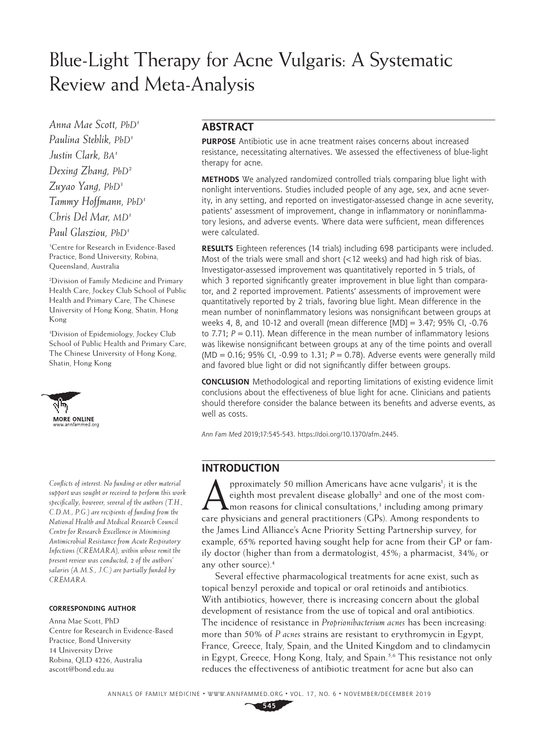# Blue-Light Therapy for Acne Vulgaris: A Systematic Review and Meta-Analysis

*Anna Mae Scott, PhD1 Paulina Stehlik, PhD1 Justin Clark, BA1 Dexing Zhang, PhD2 Zuyao Yang, PhD3 Tammy Hoffmann, PhD1 Chris Del Mar, MD1 Paul Glasziou, PhD1*

1 Centre for Research in Evidence-Based Practice, Bond University, Robina, Queensland, Australia

2 Division of Family Medicine and Primary Health Care, Jockey Club School of Public Health and Primary Care, The Chinese University of Hong Kong, Shatin, Hong Kong

3 Division of Epidemiology, Jockey Club School of Public Health and Primary Care, The Chinese University of Hong Kong, [Shatin, Hong Ko](http://www.annfammed.org)ng



*Conflicts of interest: No funding or other material support was sought or received to perform this work specifically; however, several of the authors (T.H., C.D.M., P.G.) are recipients of funding from the National Health and Medical Research Council Centre for Research Excellence in Minimising Antimicrobial Resistance from Acute Respiratory Infections (CREMARA), within whose remit the present review was conducted; 2 of the authors' salaries (A.M.S., J.C.) are partially funded by CREMARA.*

#### **CORRESPONDING AUTHOR**

Anna Mae Scott, PhD Centre for Research in Evidence-Based Practice, Bond University 14 University Drive Robina, QLD 4226, Australia [ascott@bond.edu.au](mailto:ascott@bond.edu.au)

## **ABSTRACT**

**PURPOSE** Antibiotic use in acne treatment raises concerns about increased resistance, necessitating alternatives. We assessed the effectiveness of blue-light therapy for acne.

**METHODS** We analyzed randomized controlled trials comparing blue light with nonlight interventions. Studies included people of any age, sex, and acne severity, in any setting, and reported on investigator-assessed change in acne severity, patients' assessment of improvement, change in inflammatory or noninflammatory lesions, and adverse events. Where data were sufficient, mean differences were calculated.

**RESULTS** Eighteen references (14 trials) including 698 participants were included. Most of the trials were small and short (<12 weeks) and had high risk of bias. Investigator-assessed improvement was quantitatively reported in 5 trials, of which 3 reported significantly greater improvement in blue light than comparator, and 2 reported improvement. Patients' assessments of improvement were quantitatively reported by 2 trials, favoring blue light. Mean difference in the mean number of noninflammatory lesions was nonsignificant between groups at weeks 4, 8, and 10-12 and overall (mean difference  $[MD] = 3.47$ ; 95% CI, -0.76 to 7.71;  $P = 0.11$ ). Mean difference in the mean number of inflammatory lesions was likewise nonsignificant between groups at any of the time points and overall (MD=0.16; 95% CI, -0.99 to 1.31; *P*=0.78). Adverse events were generally mild and favored blue light or did not significantly differ between groups.

**CONCLUSION** Methodological and reporting limitations of existing evidence limit conclusions about the effectiveness of blue light for acne. Clinicians and patients should therefore consider the balance between its benefits and adverse events, as well as costs.

*Ann Fam Med* 2019;17:545-543. [https://doi.org/10.1370/afm.2445.](https://doi.org/10.1370/afm.2445)

## **INTRODUCTION**

**A** pproximately 50 million Americans have acne vulgaris<sup>1</sup>; it is the eighth most prevalent disease globally<sup>2</sup> and one of the most common reasons for clinical consultations,<sup>3</sup> including among primary pproximately 50 million Americans have acne vulgaris<sup>1</sup>; it is the eighth most prevalent disease globally<sup>2</sup> and one of the most comcare physicians and general practitioners (GPs). Among respondents to the James Lind Alliance's Acne Priority Setting Partnership survey, for example, 65% reported having sought help for acne from their GP or family doctor (higher than from a dermatologist, 45%; a pharmacist, 34%; or any other source).4

Several effective pharmacological treatments for acne exist, such as topical benzyl peroxide and topical or oral retinoids and antibiotics. With antibiotics, however, there is increasing concern about the global development of resistance from the use of topical and oral antibiotics. The incidence of resistance in *Proprionibacterium acnes* has been increasing: more than 50% of *P acnes* strains are resistant to erythromycin in Egypt, France, Greece, Italy, Spain, and the United Kingdom and to clindamycin in Egypt, Greece, Hong Kong, Italy, and Spain.<sup>5,6</sup> This resistance not only reduces the effectiveness of antibiotic treatment for acne but also can

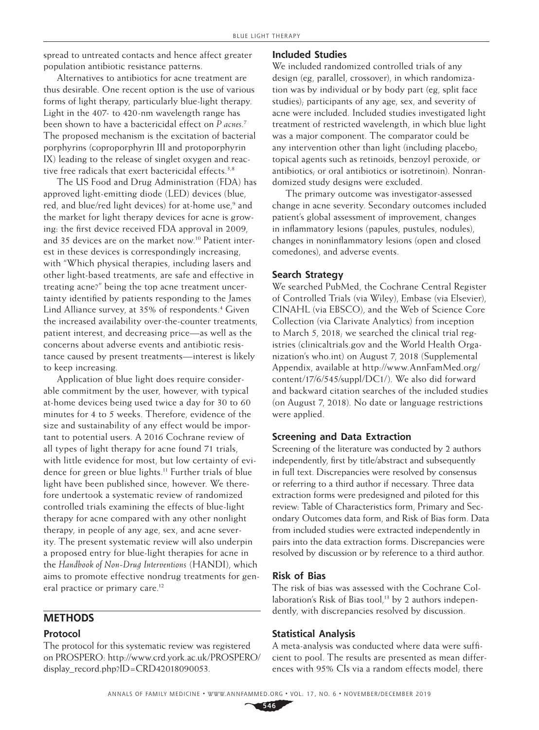spread to untreated contacts and hence affect greater population antibiotic resistance patterns.

Alternatives to antibiotics for acne treatment are thus desirable. One recent option is the use of various forms of light therapy, particularly blue-light therapy. Light in the 407- to 420-nm wavelength range has been shown to have a bactericidal effect on *P acnes*. 7 The proposed mechanism is the excitation of bacterial porphyrins (coproporphyrin III and protoporphyrin IX) leading to the release of singlet oxygen and reactive free radicals that exert bactericidal effects.<sup>3,8</sup>

The US Food and Drug Administration (FDA) has approved light-emitting diode (LED) devices (blue, red, and blue/red light devices) for at-home use,<sup>9</sup> and the market for light therapy devices for acne is growing: the first device received FDA approval in 2009, and 35 devices are on the market now.10 Patient interest in these devices is correspondingly increasing, with "Which physical therapies, including lasers and other light-based treatments, are safe and effective in treating acne?" being the top acne treatment uncertainty identified by patients responding to the James Lind Alliance survey, at 35% of respondents.<sup>4</sup> Given the increased availability over-the-counter treatments, patient interest, and decreasing price—as well as the concerns about adverse events and antibiotic resistance caused by present treatments—interest is likely to keep increasing.

Application of blue light does require considerable commitment by the user, however, with typical at-home devices being used twice a day for 30 to 60 minutes for 4 to 5 weeks. Therefore, evidence of the size and sustainability of any effect would be important to potential users. A 2016 Cochrane review of all types of light therapy for acne found 71 trials, with little evidence for most, but low certainty of evidence for green or blue lights.<sup>11</sup> Further trials of blue light have been published since, however. We therefore undertook a systematic review of randomized controlled trials examining the effects of blue-light therapy for acne compared with any other nonlight therapy, in people of any age, sex, and acne severity. The present systematic review will also underpin a proposed entry for blue-light therapies for acne in the *Handbook of Non-Drug Interventions* (HANDI), which aims to promote effective nondrug treatments for general practice or primary care.<sup>12</sup>

## **METHODS**

#### **Protocol**

The protocol for this systematic review was registered on PROSPERO: [http://www.crd.york.ac.uk/PROSPERO/](http://​www.​crd.​york.​ac.​uk/​PROSPERO/​display_​record.​php?​ID=CRD42018090053) [display\\_record.php?ID=CRD42018090053.](http://​www.​crd.​york.​ac.​uk/​PROSPERO/​display_​record.​php?​ID=CRD42018090053)

## **Included Studies**

We included randomized controlled trials of any design (eg, parallel, crossover), in which randomization was by individual or by body part (eg, split face studies); participants of any age, sex, and severity of acne were included. Included studies investigated light treatment of restricted wavelength, in which blue light was a major component. The comparator could be any intervention other than light (including placebo; topical agents such as retinoids, benzoyl peroxide, or antibiotics; or oral antibiotics or isotretinoin). Nonrandomized study designs were excluded.

The primary outcome was investigator-assessed change in acne severity. Secondary outcomes included patient's global assessment of improvement, changes in inflammatory lesions (papules, pustules, nodules), changes in noninflammatory lesions (open and closed comedones), and adverse events.

## **Search Strategy**

We searched PubMed, the Cochrane Central Register of Controlled Trials (via Wiley), Embase (via Elsevier), CINAHL (via EBSCO), and the Web of Science Core Collection (via Clarivate Analytics) from inception to March 5, 2018; we searched the clinical trial registries [\(clinicaltrials.gov](http://clinicaltrials.gov) and the World Health Organization's who.int) on August 7, 2018 (Supplemental Appendix, available at [http://www.AnnFamMed.org/](http://www.AnnFamMed.org/content/17/6/545/suppl/DC1/) [content/17/6/545/suppl/DC1/\)](http://www.AnnFamMed.org/content/17/6/545/suppl/DC1/). We also did forward and backward citation searches of the included studies (on August 7, 2018). No date or language restrictions were applied.

#### **Screening and Data Extraction**

Screening of the literature was conducted by 2 authors independently, first by title/abstract and subsequently in full text. Discrepancies were resolved by consensus or referring to a third author if necessary. Three data extraction forms were predesigned and piloted for this review: Table of Characteristics form, Primary and Secondary Outcomes data form, and Risk of Bias form. Data from included studies were extracted independently in pairs into the data extraction forms. Discrepancies were resolved by discussion or by reference to a third author.

#### **Risk of Bias**

The risk of bias was assessed with the Cochrane Collaboration's Risk of Bias tool,<sup>13</sup> by 2 authors independently, with discrepancies resolved by discussion.

#### **Statistical Analysis**

A meta-analysis was conducted where data were sufficient to pool. The results are presented as mean differences with 95% CIs via a random effects model; there

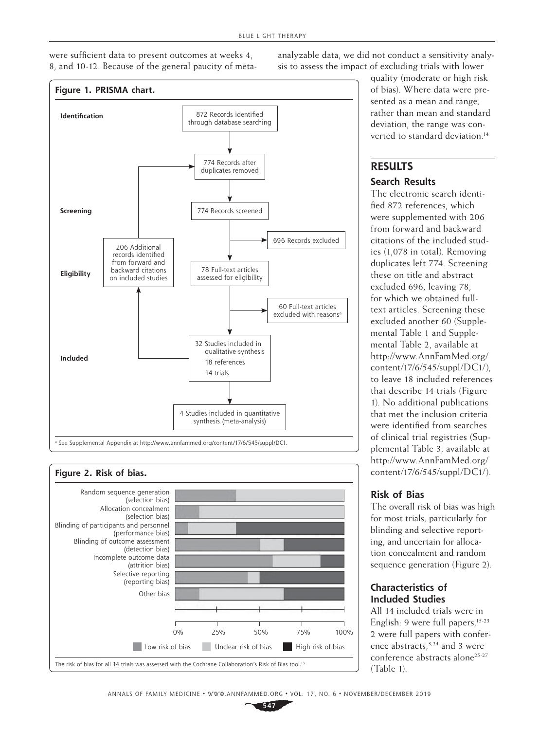were sufficient data to present outcomes at weeks 4, 8, and 10-12. Because of the general paucity of metaanalyzable data, we did not conduct a sensitivity analysis to assess the impact of excluding trials with lower





quality (moderate or high risk of bias). Where data were presented as a mean and range, rather than mean and standard deviation, the range was converted to standard deviation.<sup>14</sup>

# **RESULTS**

## **Search Results**

The electronic search identified 872 references, which were supplemented with 206 from forward and backward citations of the included studies (1,078 in total). Removing duplicates left 774. Screening these on title and abstract excluded 696, leaving 78, for which we obtained fulltext articles. Screening these excluded another 60 (Supplemental Table 1 and Supplemental Table 2, available at [http://www.AnnFamMed.org/](http://www.AnnFamMed.org/content/17/6/545/suppl/DC1/) [content/17/6/545/suppl/DC1/\)](http://www.AnnFamMed.org/content/17/6/545/suppl/DC1/), to leave 18 included references that describe 14 trials (Figure 1). No additional publications that met the inclusion criteria were identified from searches of clinical trial registries (Supplemental Table 3, available at [http://www.AnnFamMed.org/](http://www.AnnFamMed.org/content/17/6/545/suppl/DC1/) [content/17/6/545/suppl/DC1/\)](http://www.AnnFamMed.org/content/17/6/545/suppl/DC1/).

## **Risk of Bias**

The overall risk of bias was high for most trials, particularly for blinding and selective reporting, and uncertain for allocation concealment and random sequence generation (Figure 2).

# **Characteristics of Included Studies**

All 14 included trials were in English: 9 were full papers,<sup>15-23</sup> 2 were full papers with conference abstracts,<sup>3,24</sup> and 3 were conference abstracts alone<sup>25-27</sup> (Table 1).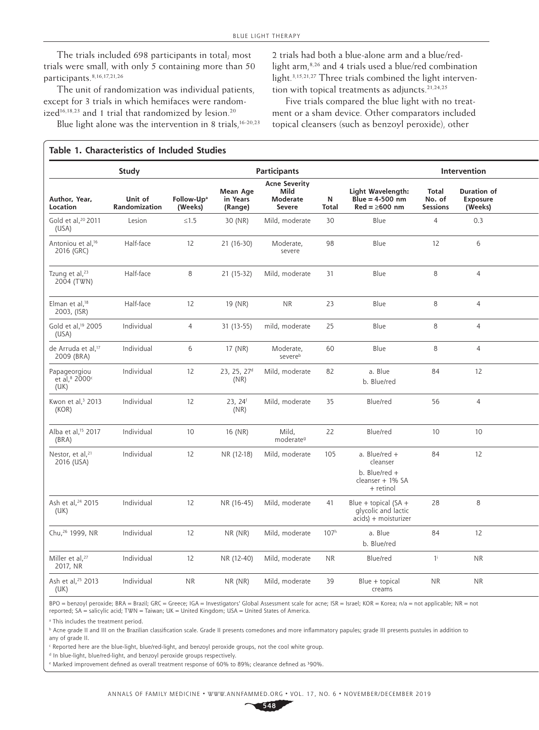The trials included 698 participants in total; most trials were small, with only 5 containing more than 50 participants.8,16,17,21,26

The unit of randomization was individual patients, except for 3 trials in which hemifaces were randomized<sup>16,18,23</sup> and 1 trial that randomized by lesion.<sup>20</sup>

Blue light alone was the intervention in 8 trials, $16-20,23$ 

2 trials had both a blue-alone arm and a blue/redlight arm,8,26 and 4 trials used a blue/red combination light.3,15,21,27 Three trials combined the light intervention with topical treatments as adjuncts.<sup>21,24,25</sup>

Five trials compared the blue light with no treatment or a sham device. Other comparators included topical cleansers (such as benzoyl peroxide), other

## **Table 1. Characteristics of Included Studies**

|                                                               | Study                    |                                   |                                 | <b>Participants</b>                                |                           | Intervention                                                                  |                                    |                                           |  |
|---------------------------------------------------------------|--------------------------|-----------------------------------|---------------------------------|----------------------------------------------------|---------------------------|-------------------------------------------------------------------------------|------------------------------------|-------------------------------------------|--|
| Author, Year,<br>Location                                     | Unit of<br>Randomization | Follow-Up <sup>a</sup><br>(Weeks) | Mean Age<br>in Years<br>(Range) | <b>Acne Severity</b><br>Mild<br>Moderate<br>Severe | ${\bf N}$<br><b>Total</b> | Light Wavelength:<br>Blue = $4-500$ nm<br>$Red = \geq 600$ nm                 | Total<br>No. of<br><b>Sessions</b> | <b>Duration of</b><br>Exposure<br>(Weeks) |  |
| Gold et al, <sup>20</sup> 2011<br>(USA)                       | Lesion                   | $\leq1.5$                         | 30 (NR)                         | Mild, moderate                                     | 30                        | Blue                                                                          | $\overline{4}$                     | 0.3                                       |  |
| Antoniou et al, <sup>16</sup><br>2016 (GRC)                   | Half-face                | 12                                | 21 (16-30)                      | Moderate,<br>severe                                | 98                        | Blue                                                                          | $12$                               | 6                                         |  |
| Tzung et al, <sup>23</sup><br>2004 (TWN)                      | Half-face                | 8                                 | $21(15-32)$                     | Mild, moderate                                     | 31                        | Blue                                                                          | 8                                  | $\overline{4}$                            |  |
| Elman et al, <sup>18</sup><br>2003, (ISR)                     | Half-face                | 12                                | 19 (NR)                         | <b>NR</b>                                          | 23                        | Blue                                                                          | 8                                  | $\overline{4}$                            |  |
| Gold et al, <sup>19</sup> 2005<br>(USA)                       | Individual               | $\overline{4}$                    | $31(13-55)$                     | mild, moderate                                     | 25                        | Blue                                                                          | 8                                  | $\overline{4}$                            |  |
| de Arruda et al, <sup>17</sup><br>2009 (BRA)                  | Individual               | 6                                 | 17 (NR)                         | Moderate,<br>severeb                               | 60                        | Blue                                                                          | 8                                  | $\overline{4}$                            |  |
| Papageorgiou<br>et al, <sup>8</sup> 2000 <sup>c</sup><br>(UK) | Individual               | 12                                | 23, 25, 27 <sup>d</sup><br>(NR) | Mild, moderate                                     | 82                        | a. Blue<br>b. Blue/red                                                        | 84                                 | 12                                        |  |
| Kwon et al, <sup>3</sup> 2013<br>(KOR)                        | Individual               | 12                                | 23, 24 <sup>f</sup><br>(NR)     | Mild, moderate                                     | 35                        | Blue/red                                                                      | 56                                 | $\overline{4}$                            |  |
| Alba et al, <sup>15</sup> 2017<br>(BRA)                       | Individual               | 10                                | 16 (NR)                         | Mild,<br>moderate <sup>9</sup>                     | 22                        | Blue/red                                                                      | 10                                 | 10                                        |  |
| Nestor, et al, <sup>21</sup><br>2016 (USA)                    | Individual               | 12                                | NR (12-18)                      | Mild, moderate                                     | 105                       | a. Blue/red +<br>cleanser<br>b. Blue/red $+$<br>cleanser + 1% SA<br>+ retinol | 84                                 | 12                                        |  |
| Ash et al, <sup>24</sup> 2015<br>(UK)                         | Individual               | 12                                | NR (16-45)                      | Mild, moderate                                     | 41                        | Blue + topical $(SA +$<br>glycolic and lactic<br>acids) + moisturizer         | 28                                 | 8                                         |  |
| Chu, <sup>26</sup> 1999, NR                                   | Individual               | 12                                | NR (NR)                         | Mild, moderate                                     | 107 <sup>h</sup>          | a. Blue<br>b. Blue/red                                                        | 84                                 | 12                                        |  |
| Miller et al, <sup>27</sup><br>2017, NR                       | Individual               | 12                                | NR (12-40)                      | Mild, moderate                                     | <b>NR</b>                 | Blue/red                                                                      | $1^{\mathrm{i}}$                   | <b>NR</b>                                 |  |
| Ash et al, <sup>25</sup> 2013<br>(UK)                         | Individual               | <b>NR</b>                         | NR(NR)                          | Mild, moderate                                     | 39                        | Blue + topical<br>creams                                                      | <b>NR</b>                          | <b>NR</b>                                 |  |

BPO=benzoyl peroxide; BRA=Brazil; GRC=Greece; IGA=Investigators' Global Assessment scale for acne; ISR=Israel; KOR=Korea; n/a=not applicable; NR=not reported; SA = salicylic acid; TWN = Taiwan; UK = United Kingdom; USA = United States of America.

<sup>a</sup> This includes the treatment period.

**b** Acne grade II and III on the Brazilian classification scale. Grade II presents comedones and more inflammatory papules; grade III presents pustules in addition to any of grade II.

c Reported here are the blue-light, blue/red-light, and benzoyl peroxide groups, not the cool white group.

<sup>d</sup> In blue-light, blue/red-light, and benzoyl peroxide groups respectively.

Marked improvement defined as overall treatment response of 60% to 89%; clearance defined as 390%.

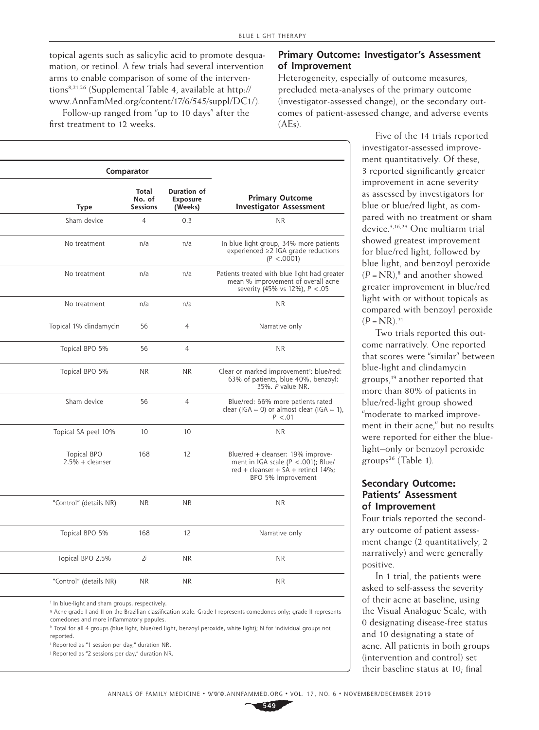topical agents such as salicylic acid to promote desquamation, or retinol. A few trials had several intervention arms to enable comparison of some of the interventions8,21,26 (Supplemental Table 4, available at [http://](http://www.AnnFamMed.org/content/17/6/545/suppl/DC1/) [www.AnnFamMed.org/content/17/6/545/suppl/DC1/\)](http://www.AnnFamMed.org/content/17/6/545/suppl/DC1/).

Follow-up ranged from "up to 10 days" after the first treatment to 12 weeks.

|                                                                                                                                               | Comparator |                                           |                                         |  |
|-----------------------------------------------------------------------------------------------------------------------------------------------|------------|-------------------------------------------|-----------------------------------------|--|
| <b>Duration of</b><br><b>Primary Outcome</b><br>Exposure<br><b>Investigator Assessment</b><br>(Weeks)                                         |            | <b>Total</b><br>No. of<br><b>Sessions</b> | <b>Type</b>                             |  |
| 0.3<br>NR                                                                                                                                     |            | $\overline{4}$                            | Sham device                             |  |
| n/a<br>In blue light group, 34% more patients<br>experienced $\geq$ 2 IGA grade reductions<br>(P < .0001)                                     |            | n/a                                       | No treatment                            |  |
| n/a<br>Patients treated with blue light had greater<br>mean % improvement of overall acne<br>severity (45% vs 12%), $P < .05$                 |            | n/a                                       | No treatment                            |  |
| $\sf NR$<br>n/a                                                                                                                               |            | n/a                                       | No treatment                            |  |
| $\overline{4}$<br>Narrative only                                                                                                              |            | 56                                        | Topical 1% clindamycin                  |  |
| <b>NR</b><br>$\overline{4}$                                                                                                                   |            | 56                                        | Topical BPO 5%                          |  |
| Clear or marked improvemente: blue/red:<br><b>NR</b><br>63% of patients, blue 40%, benzoyl:<br>35%. P value NR.                               |            | <b>NR</b>                                 | Topical BPO 5%                          |  |
| $\overline{4}$<br>Blue/red: 66% more patients rated<br>clear (IGA = 0) or almost clear (IGA = 1),<br>$P < .01$                                |            | 56                                        | Sham device                             |  |
| 10<br><b>NR</b>                                                                                                                               |            | 10                                        | Topical SA peel 10%                     |  |
| Blue/red + cleanser: 19% improve-<br>12<br>ment in IGA scale $(P < .001)$ ; Blue/<br>red + cleanser + SA + retinol 14%;<br>BPO 5% improvement |            | 168                                       | Topical BPO<br>$2.5% + \text{cleanser}$ |  |
| <b>NR</b><br><b>NR</b>                                                                                                                        |            | <b>NR</b>                                 | "Control" (details NR)                  |  |
| 12<br>Narrative only                                                                                                                          |            | 168                                       | Topical BPO 5%                          |  |
| <b>NR</b><br><b>NR</b>                                                                                                                        |            | $2^{j}$                                   | Topical BPO 2.5%                        |  |
| <b>NR</b><br><b>NR</b>                                                                                                                        |            | <b>NR</b>                                 | "Control" (details NR)                  |  |
|                                                                                                                                               |            |                                           |                                         |  |

f In blue-light and sham groups, respectively.

g Acne grade I and II on the Brazilian classification scale. Grade I represents comedones only; grade II represents comedones and more inflammatory papules.

h Total for all 4 groups (blue light, blue/red light, benzoyl peroxide, white light); N for individual groups not reported.

i Reported as "1 session per day," duration NR.

j Reported as "2 sessions per day," duration NR.

## **Primary Outcome: Investigator's Assessment of Improvement**

Heterogeneity, especially of outcome measures, precluded meta-analyses of the primary outcome (investigator-assessed change), or the secondary outcomes of patient-assessed change, and adverse events  $(AEs)$ .

> Five of the 14 trials reported investigator-assessed improvement quantitatively. Of these, 3 reported significantly greater improvement in acne severity as assessed by investigators for blue or blue/red light, as compared with no treatment or sham device.3,16,23 One multiarm trial showed greatest improvement for blue/red light, followed by blue light, and benzoyl peroxide  $(P = NR)<sub>i</sub>$ <sup>8</sup> and another showed greater improvement in blue/red light with or without topicals as compared with benzoyl peroxide  $(P = NR)^{21}$

Two trials reported this outcome narratively. One reported that scores were "similar" between blue-light and clindamycin groups,19 another reported that more than 80% of patients in blue/red-light group showed "moderate to marked improvement in their acne," but no results were reported for either the bluelight–only or benzoyl peroxide groups26 (Table 1).

## **Secondary Outcome: Patients' Assessment of Improvement**

Four trials reported the secondary outcome of patient assessment change (2 quantitatively, 2 narratively) and were generally positive.

In 1 trial, the patients were asked to self-assess the severity of their acne at baseline, using the Visual Analogue Scale, with 0 designating disease-free status and 10 designating a state of acne. All patients in both groups (intervention and control) set their baseline status at 10; final

**549**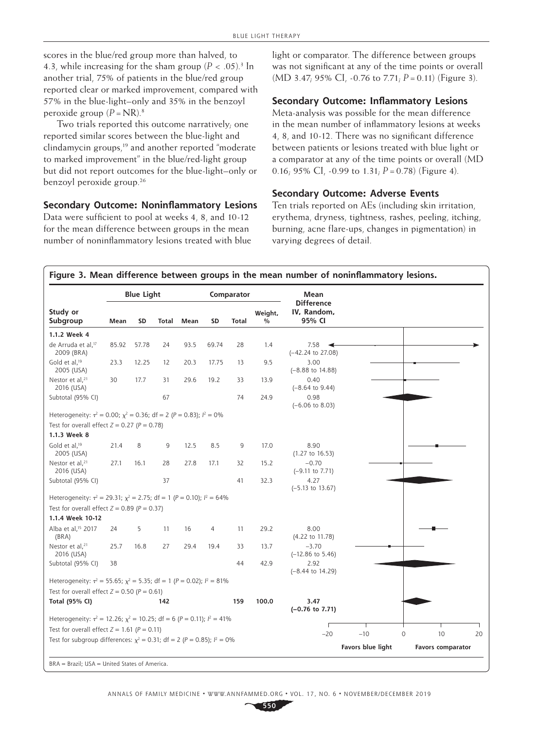scores in the blue/red group more than halved, to 4.3, while increasing for the sham group  $(P < .05)^3$  In another trial, 75% of patients in the blue/red group reported clear or marked improvement, compared with 57% in the blue-light–only and 35% in the benzoyl peroxide group  $(P = NR).$ <sup>8</sup>

Two trials reported this outcome narratively; one reported similar scores between the blue-light and clindamycin groups,<sup>19</sup> and another reported "moderate to marked improvement" in the blue/red-light group but did not report outcomes for the blue-light–only or benzoyl peroxide group.<sup>26</sup>

#### **Secondary Outcome: Noninflammatory Lesions**

Data were sufficient to pool at weeks 4, 8, and 10-12 for the mean difference between groups in the mean number of noninflammatory lesions treated with blue light or comparator. The difference between groups was not significant at any of the time points or overall (MD 3.47; 95% CI, -0.76 to 7.71; *P*=0.11) (Figure 3).

## **Secondary Outcome: Inflammatory Lesions**

Meta-analysis was possible for the mean difference in the mean number of inflammatory lesions at weeks 4, 8, and 10-12. There was no significant difference between patients or lesions treated with blue light or a comparator at any of the time points or overall (MD 0.16; 95% CI, -0.99 to 1.31;  $P = 0.78$ ) (Figure 4).

#### **Secondary Outcome: Adverse Events**

Ten trials reported on AEs (including skin irritation, erythema, dryness, tightness, rashes, peeling, itching, burning, acne flare-ups, changes in pigmentation) in varying degrees of detail.

### **Figure 3. Mean difference between groups in the mean number of noninflammatory lesions.**

|                                                                                      |       | <b>Blue Light</b> |              |      |           | Comparator   |                          | Mean                                       |                   |               |                          |    |
|--------------------------------------------------------------------------------------|-------|-------------------|--------------|------|-----------|--------------|--------------------------|--------------------------------------------|-------------------|---------------|--------------------------|----|
| Study or<br>Subgroup                                                                 | Mean  | SD                | <b>Total</b> | Mean | <b>SD</b> | <b>Total</b> | Weight,<br>$\frac{0}{0}$ | <b>Difference</b><br>IV, Random,<br>95% CI |                   |               |                          |    |
| 1.1.2 Week 4                                                                         |       |                   |              |      |           |              |                          |                                            |                   |               |                          |    |
| de Arruda et al, <sup>17</sup><br>2009 (BRA)                                         | 85.92 | 57.78             | 24           | 93.5 | 69.74     | 28           | 1.4                      | 7.58<br>(-42.24 to 27.08)                  |                   |               |                          |    |
| Gold et al, <sup>19</sup><br>2005 (USA)                                              | 23.3  | 12.25             | 12           | 20.3 | 17.75     | 13           | 9.5                      | 3.00<br>$(-8.88 \text{ to } 14.88)$        |                   |               |                          |    |
| Nestor et al, <sup>21</sup><br>2016 (USA)                                            | 30    | 17.7              | 31           | 29.6 | 19.2      | 33           | 13.9                     | 0.40<br>$(-8.64 \text{ to } 9.44)$         |                   |               |                          |    |
| Subtotal (95% CI)                                                                    |       |                   | 67           |      |           | 74           | 24.9                     | 0.98<br>$(-6.06 \text{ to } 8.03)$         |                   |               |                          |    |
| Heterogeneity: $\tau^2 = 0.00$ ; $\chi^2 = 0.36$ ; df = 2 (P = 0.83); $l^2 = 0\%$    |       |                   |              |      |           |              |                          |                                            |                   |               |                          |    |
| Test for overall effect $Z = 0.27$ ( $P = 0.78$ )                                    |       |                   |              |      |           |              |                          |                                            |                   |               |                          |    |
| 1.1.3 Week 8                                                                         |       |                   |              |      |           |              |                          |                                            |                   |               |                          |    |
| Gold et al, <sup>19</sup><br>2005 (USA)                                              | 21.4  | 8                 | 9            | 12.5 | 8.5       | 9            | 17.0                     | 8.90<br>$(1.27$ to $16.53)$                |                   |               |                          |    |
| Nestor et al, <sup>21</sup><br>2016 (USA)                                            | 27.1  | 16.1              | 28           | 27.8 | 17.1      | 32           | 15.2                     | $-0.70$<br>$(-9.11$ to 7.71)               |                   |               |                          |    |
| Subtotal (95% CI)                                                                    |       |                   | 37           |      |           | 41           | 32.3                     | 4.27<br>$(-5.13 \text{ to } 13.67)$        |                   |               |                          |    |
| Heterogeneity: $\tau^2 = 29.31$ ; $\chi^2 = 2.75$ ; df = 1 (P = 0.10); $l^2 = 64\%$  |       |                   |              |      |           |              |                          |                                            |                   |               |                          |    |
| Test for overall effect $Z = 0.89$ ( $P = 0.37$ )                                    |       |                   |              |      |           |              |                          |                                            |                   |               |                          |    |
| 1.1.4 Week 10-12                                                                     |       |                   |              |      |           |              |                          |                                            |                   |               |                          |    |
| Alba et al, <sup>15</sup> 2017<br>(BRA)                                              | 24    | 5                 | 11           | 16   | 4         | 11           | 29.2                     | 8.00<br>(4.22 to 11.78)                    |                   |               |                          |    |
| Nestor et al, <sup>21</sup><br>2016 (USA)                                            | 25.7  | 16.8              | 27           | 29.4 | 19.4      | 33           | 13.7                     | $-3.70$<br>$(-12.86 \text{ to } 5.46)$     |                   |               |                          |    |
| Subtotal (95% CI)                                                                    | 38    |                   |              |      |           | 44           | 42.9                     | 2.92<br>$(-8.44 \text{ to } 14.29)$        |                   |               |                          |    |
| Heterogeneity: $\tau^2 = 55.65$ ; $\chi^2 = 5.35$ ; df = 1 (P = 0.02); $l^2 = 81\%$  |       |                   |              |      |           |              |                          |                                            |                   |               |                          |    |
| Test for overall effect $Z = 0.50$ ( $P = 0.61$ )                                    |       |                   |              |      |           |              |                          |                                            |                   |               |                          |    |
| Total (95% CI)                                                                       |       |                   | 142          |      |           | 159          | 100.0                    | 3.47<br>$(-0.76$ to 7.71)                  |                   |               |                          |    |
| Heterogeneity: $\tau^2 = 12.26$ ; $\chi^2 = 10.25$ ; df = 6 (P = 0.11); $l^2 = 41\%$ |       |                   |              |      |           |              |                          |                                            |                   |               |                          |    |
| Test for overall effect $Z = 1.61$ ( $P = 0.11$ )                                    |       |                   |              |      |           |              |                          | $-20$                                      | $-10$             | 10<br>$\circ$ |                          | 20 |
| Test for subgroup differences: $\chi^2 = 0.31$ ; df = 2 (P = 0.85); $l^2 = 0\%$      |       |                   |              |      |           |              |                          |                                            |                   |               |                          |    |
|                                                                                      |       |                   |              |      |           |              |                          |                                            | Favors blue light |               | <b>Favors comparator</b> |    |
| BRA = Brazil; USA = United States of America.                                        |       |                   |              |      |           |              |                          |                                            |                   |               |                          |    |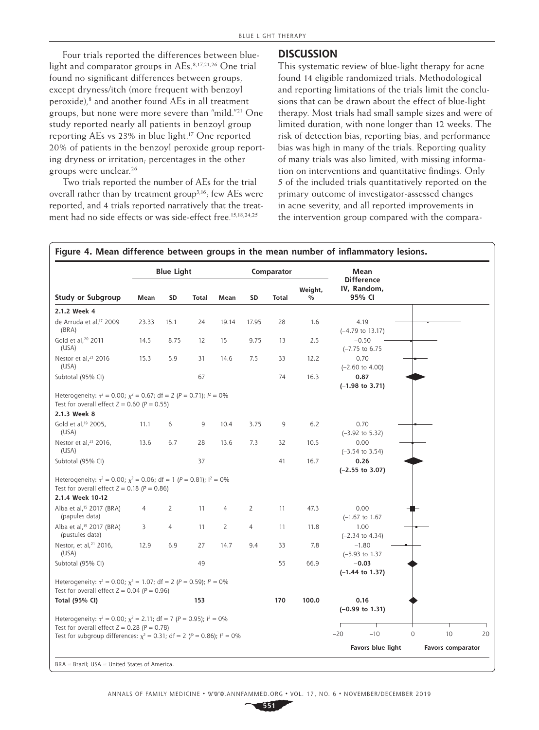Four trials reported the differences between bluelight and comparator groups in AEs.8,17,21,26 One trial found no significant differences between groups, except dryness/itch (more frequent with benzoyl peroxide),<sup>8</sup> and another found AEs in all treatment groups, but none were more severe than "mild."21 One study reported nearly all patients in benzoyl group reporting AEs vs 23% in blue light.<sup>17</sup> One reported 20% of patients in the benzoyl peroxide group reporting dryness or irritation; percentages in the other groups were unclear.26

Two trials reported the number of AEs for the trial overall rather than by treatment group3,16; few AEs were reported, and 4 trials reported narratively that the treatment had no side effects or was side-effect free.<sup>15,18,24,25</sup>

## **DISCUSSION**

This systematic review of blue-light therapy for acne found 14 eligible randomized trials. Methodological and reporting limitations of the trials limit the conclusions that can be drawn about the effect of blue-light therapy. Most trials had small sample sizes and were of limited duration, with none longer than 12 weeks. The risk of detection bias, reporting bias, and performance bias was high in many of the trials. Reporting quality of many trials was also limited, with missing information on interventions and quantitative findings. Only 5 of the included trials quantitatively reported on the primary outcome of investigator-assessed changes in acne severity, and all reported improvements in the intervention group compared with the compara-

|                                                                                                                                                                                                                        |       | <b>Blue Light</b> |              |       |       | Comparator |                          | Mean                                       |             |                          |    |
|------------------------------------------------------------------------------------------------------------------------------------------------------------------------------------------------------------------------|-------|-------------------|--------------|-------|-------|------------|--------------------------|--------------------------------------------|-------------|--------------------------|----|
| Study or Subgroup                                                                                                                                                                                                      | Mean  | SD                | <b>Total</b> | Mean  | SD    | Total      | Weight,<br>$\frac{0}{0}$ | <b>Difference</b><br>IV, Random,<br>95% CI |             |                          |    |
| 2.1.2 Week 4                                                                                                                                                                                                           |       |                   |              |       |       |            |                          |                                            |             |                          |    |
| de Arruda et al, <sup>17</sup> 2009<br>(BRA)                                                                                                                                                                           | 23.33 | 15.1              | 24           | 19.14 | 17.95 | 28         | 1.6                      | 4.19<br>$(-4.79$ to 13.17)                 |             |                          |    |
| Gold et al, <sup>20</sup> 2011<br>(USA)                                                                                                                                                                                | 14.5  | 8.75              | 12           | 15    | 9.75  | 13         | 2.5                      | $-0.50$<br>$(-7.75$ to $6.75$              |             |                          |    |
| Nestor et al, <sup>21</sup> 2016<br>(USA)                                                                                                                                                                              | 15.3  | 5.9               | 31           | 14.6  | 7.5   | 33         | 12.2                     | 0.70<br>$(-2.60 \text{ to } 4.00)$         |             |                          |    |
| Subtotal (95% CI)                                                                                                                                                                                                      |       |                   | 67           |       |       | 74         | 16.3                     | 0.87<br>$(-1.98$ to 3.71)                  |             |                          |    |
| Heterogeneity: $\tau^2 = 0.00$ ; $\chi^2 = 0.67$ ; df = 2 (P = 0.71); $l^2 = 0\%$<br>Test for overall effect $Z = 0.60$ ( $P = 0.55$ )<br>2.1.3 Week 8                                                                 |       |                   |              |       |       |            |                          |                                            |             |                          |    |
| Gold et al, <sup>19</sup> 2005,<br>(USA)                                                                                                                                                                               | 11.1  | 6                 | 9            | 10.4  | 3.75  | 9          | 6.2                      | 0.70<br>$(-3.92$ to 5.32)                  |             |                          |    |
| Nestor et al, <sup>21</sup> 2016,<br>(USA)                                                                                                                                                                             | 13.6  | 6.7               | 28           | 13.6  | 7.3   | 32         | 10.5                     | 0.00<br>$(-3.54 \text{ to } 3.54)$         |             |                          |    |
| Subtotal (95% CI)                                                                                                                                                                                                      |       |                   | 37           |       |       | 41         | 16.7                     | 0.26<br>$(-2.55$ to 3.07)                  |             |                          |    |
| Heterogeneity: $\tau^2 = 0.00$ ; $\chi^2 = 0.06$ ; df = 1 (P = 0.81); $l^2 = 0\%$<br>Test for overall effect $Z = 0.18$ ( $P = 0.86$ )<br>2.1.4 Week 10-12                                                             |       |                   |              |       |       |            |                          |                                            |             |                          |    |
| Alba et al, <sup>15</sup> 2017 (BRA)<br>(papules data)                                                                                                                                                                 | 4     | 2                 | 11           | 4     | 2     | 11         | 47.3                     | 0.00<br>$(-1.67$ to $1.67$                 |             |                          |    |
| Alba et al, <sup>15</sup> 2017 (BRA)<br>(pustules data)                                                                                                                                                                | 3     | 4                 | 11           | 2     | 4     | 11         | 11.8                     | 1.00<br>$(-2.34$ to 4.34)                  |             |                          |    |
| Nestor, et al, <sup>21</sup> 2016,<br>(USA)                                                                                                                                                                            | 12.9  | 6.9               | 27           | 14.7  | 9.4   | 33         | 7.8                      | $-1.80$<br>$(-5.93$ to 1.37                |             |                          |    |
| Subtotal (95% CI)                                                                                                                                                                                                      |       |                   | 49           |       |       | 55         | 66.9                     | $-0.03$<br>$(-1.44$ to 1.37)               |             |                          |    |
| Heterogeneity: $\tau^2 = 0.00$ ; $\chi^2 = 1.07$ ; df = 2 (P = 0.59); $l^2 = 0\%$<br>Test for overall effect $Z = 0.04$ ( $P = 0.96$ )                                                                                 |       |                   |              |       |       |            |                          |                                            |             |                          |    |
| Total (95% CI)                                                                                                                                                                                                         |       |                   | 153          |       |       | 170        | 100.0                    | 0.16<br>$(-0.99$ to 1.31)                  |             |                          |    |
| Heterogeneity: $\tau^2 = 0.00$ ; $\chi^2 = 2.11$ ; df = 7 (P = 0.95); $l^2 = 0\%$<br>Test for overall effect $Z = 0.28$ ( $P = 0.78$ )<br>Test for subgroup differences: $x^2 = 0.31$ ; df = 2 (P = 0.86); $l^2 = 0\%$ |       |                   |              |       |       |            |                          | $-10$<br>$-20$                             | $\mathbf 0$ | 10                       | 20 |
|                                                                                                                                                                                                                        |       |                   |              |       |       |            |                          | Favors blue light                          |             | <b>Favors comparator</b> |    |

**Figure 4. Mean difference between groups in the mean number of inflammatory lesions.**

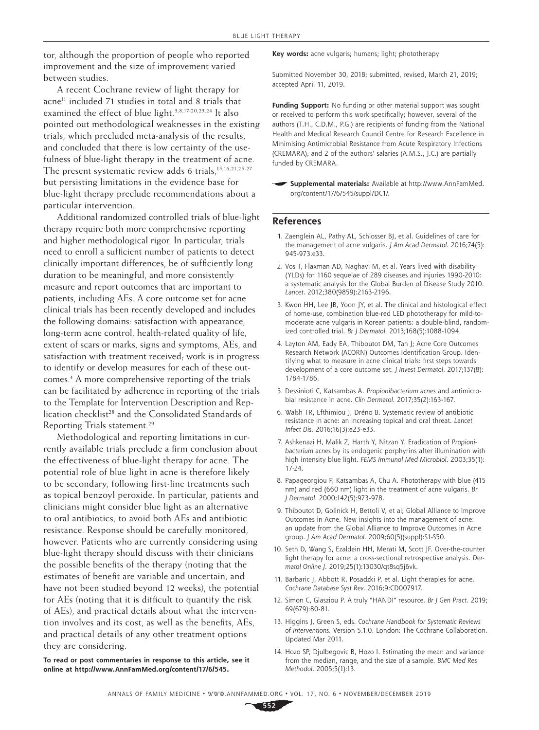tor, although the proportion of people who reported improvement and the size of improvement varied between studies.

A recent Cochrane review of light therapy for acne<sup>11</sup> included 71 studies in total and 8 trials that examined the effect of blue light.3,8,17-20,23,24 It also pointed out methodological weaknesses in the existing trials, which precluded meta-analysis of the results, and concluded that there is low certainty of the usefulness of blue-light therapy in the treatment of acne. The present systematic review adds 6 trials, $15,16,21,25-27$ but persisting limitations in the evidence base for blue-light therapy preclude recommendations about a particular intervention.

Additional randomized controlled trials of blue-light therapy require both more comprehensive reporting and higher methodological rigor. In particular, trials need to enroll a sufficient number of patients to detect clinically important differences, be of sufficiently long duration to be meaningful, and more consistently measure and report outcomes that are important to patients, including AEs. A core outcome set for acne clinical trials has been recently developed and includes the following domains: satisfaction with appearance, long-term acne control, health-related quality of life, extent of scars or marks, signs and symptoms, AEs, and satisfaction with treatment received; work is in progress to identify or develop measures for each of these outcomes.4 A more comprehensive reporting of the trials can be facilitated by adherence in reporting of the trials to the Template for Intervention Description and Replication checklist<sup>28</sup> and the Consolidated Standards of Reporting Trials statement.<sup>29</sup>

Methodological and reporting limitations in currently available trials preclude a firm conclusion about the effectiveness of blue-light therapy for acne. The potential role of blue light in acne is therefore likely to be secondary, following first-line treatments such as topical benzoyl peroxide. In particular, patients and clinicians might consider blue light as an alternative to oral antibiotics, to avoid both AEs and antibiotic resistance. Response should be carefully monitored, however. Patients who are currently considering using blue-light therapy should discuss with their clinicians the possible benefits of the therapy (noting that the estimates of benefit are variable and uncertain, and have not been studied beyond 12 weeks), the potential for AEs (noting that it is difficult to quantify the risk of AEs), and practical details about what the intervention involves and its cost, as well as the benefits, AEs, and practical details of any other treatment options they are considering.

**To read or post commentaries in response to this article, see it online at [http://www.AnnFamMed.org/content/17/6/545.](http://www.AnnFamMed.org/content/17/6/545)**

**Key words:** acne vulgaris; humans; light; phototherapy

Submitted November 30, 2018; submitted, revised, March 21, 2019; accepted April 11, 2019.

**Funding Support:** No funding or other material support was sought or received to perform this work specifically; however, several of the authors (T.H., C.D.M., P.G.) are recipients of funding from the National Health and Medical Research Council Centre for Research Excellence in Minimising Antimicrobial Resistance from Acute Respiratory Infections (CREMARA), and 2 of the authors' salaries (A.M.S., J.C.) are partially funded by CREMARA.

**Supplemental materials:** Available at [http://www.AnnFamMed.](http://www.AnnFamMed.org/content/17/6/545/suppl/DC1/) [org/content/17/6/545/suppl/DC1/.](http://www.AnnFamMed.org/content/17/6/545/suppl/DC1/)

#### **References**

- 1. Zaenglein AL, Pathy AL, Schlosser BJ, et al. Guidelines of care for the management of acne vulgaris. *J Am Acad Dermatol*. 2016;74(5): 945-973.e33.
- 2. Vos T, Flaxman AD, Naghavi M, et al. Years lived with disability (YLDs) for 1160 sequelae of 289 diseases and injuries 1990-2010: a systematic analysis for the Global Burden of Disease Study 2010. *Lancet*. 2012;380(9859):2163-2196.
- 3. Kwon HH, Lee JB, Yoon JY, et al. The clinical and histological effect of home-use, combination blue-red LED phototherapy for mild-tomoderate acne vulgaris in Korean patients: a double-blind, randomized controlled trial. *Br J Dermatol*. 2013;168(5):1088-1094.
- 4. Layton AM, Eady EA, Thiboutot DM, Tan J; Acne Core Outcomes Research Network (ACORN) Outcomes Identification Group. Identifying what to measure in acne clinical trials: first steps towards development of a core outcome set. *J Invest Dermatol*. 2017;137(8): 1784-1786.
- 5. Dessinioti C, Katsambas A. *Propionibacterium acnes* and antimicrobial resistance in acne. *Clin Dermatol*. 2017;35(2):163-167.
- 6. Walsh TR, Efthimiou J, Dréno B. Systematic review of antibiotic resistance in acne: an increasing topical and oral threat. *Lancet Infect Dis*. 2016;16(3):e23-e33.
- 7. Ashkenazi H, Malik Z, Harth Y, Nitzan Y. Eradication of *Propionibacterium acnes* by its endogenic porphyrins after illumination with high intensity blue light. *FEMS Immunol Med Microbiol*. 2003;35(1): 17-24.
- 8. Papageorgiou P, Katsambas A, Chu A. Phototherapy with blue (415 nm) and red (660 nm) light in the treatment of acne vulgaris. *Br J Dermatol*. 2000;142(5):973-978.
- 9. Thiboutot D, Gollnick H, Bettoli V, et al; Global Alliance to Improve Outcomes in Acne. New insights into the management of acne: an update from the Global Alliance to Improve Outcomes in Acne group. *J Am Acad Dermatol*. 2009;60(5)(suppl):S1-S50.
- 10. Seth D, Wang S, Ezaldein HH, Merati M, Scott JF. Over-the-counter light therapy for acne: a cross-sectional retrospective analysis. *Dermatol Online J*. 2019;25(1):13030/qt8sq5j6vk.
- 11. Barbaric J, Abbott R, Posadzki P, et al. Light therapies for acne. *Cochrane Database Syst Rev*. 2016;9:CD007917.
- 12. Simon C, Glasziou P. A truly "HANDI" resource. *Br J Gen Pract.* 2019; 69(679):80-81.
- 13. Higgins J, Green S, eds. *Cochrane Handbook for Systematic Reviews of Interventions.* Version 5.1.0. London: The Cochrane Collaboration. Updated Mar 2011.
- 14. Hozo SP, Djulbegovic B, Hozo I. Estimating the mean and variance from the median, range, and the size of a sample. *BMC Med Res Methodol*. 2005;5(1):13.